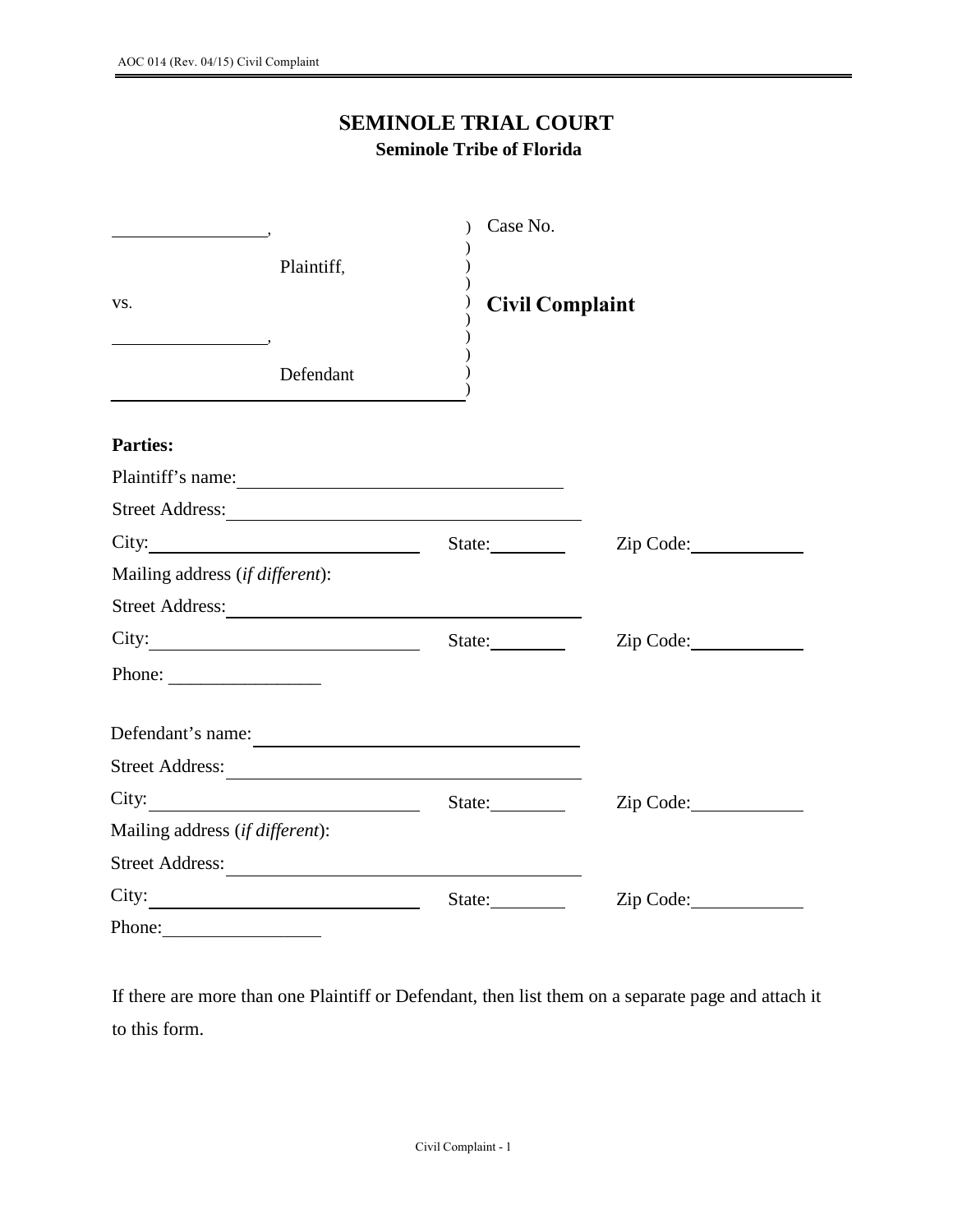## **SEMINOLE TRIAL COURT**

## **Seminole Tribe of Florida**

|                                                  | Case No.               |           |
|--------------------------------------------------|------------------------|-----------|
| Plaintiff,                                       |                        |           |
| VS.                                              | <b>Civil Complaint</b> |           |
| Defendant                                        |                        |           |
| <b>Parties:</b>                                  |                        |           |
| Plaintiff's name:                                |                        |           |
|                                                  |                        |           |
|                                                  | State:                 | Zip Code: |
| Mailing address (if different):                  |                        |           |
|                                                  |                        |           |
|                                                  | State:                 | Zip Code: |
| Phone:                                           |                        |           |
|                                                  | Defendant's name:      |           |
| Street Address:                                  |                        |           |
| City: $\qquad \qquad \qquad$                     | State:                 | Zip Code: |
| Mailing address (if different):                  |                        |           |
| <b>Street Address:</b>                           |                        |           |
| City:<br><u> 1980 - Johann Barbara, martin a</u> | State:                 | Zip Code: |
| Phone:                                           |                        |           |

If there are more than one Plaintiff or Defendant, then list them on a separate page and attach it to this form.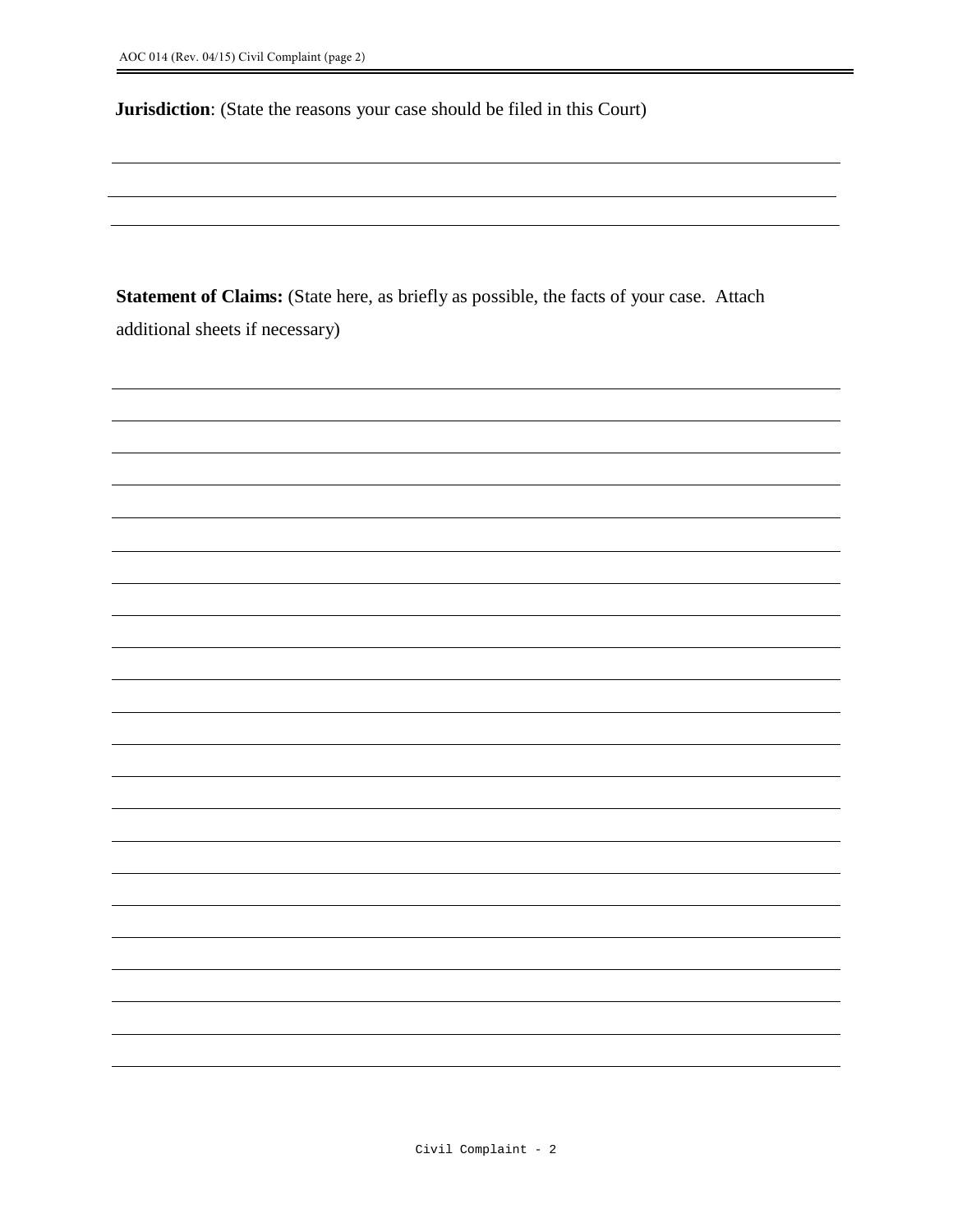**Jurisdiction**: (State the reasons your case should be filed in this Court)

**Statement of Claims:** (State here, as briefly as possible, the facts of your case. Attach additional sheets if necessary)